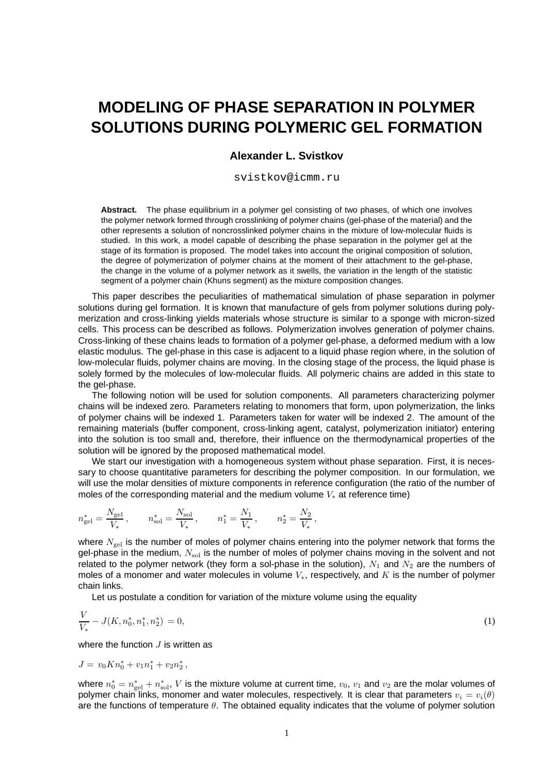## **MODELING OF PHASE SEPARATION IN POLYMER SOLUTIONS DURING POLYMERIC GEL FORMATION**

## **Alexander L. Svistkov**

svistkov@icmm.ru

**Abstract.** The phase equilibrium in a polymer gel consisting of two phases, of which one involves the polymer network formed through crosslinking of polymer chains (gel-phase of the material) and the other represents a solution of noncrosslinked polymer chains in the mixture of low-molecular fluids is studied. In this work, a model capable of describing the phase separation in the polymer gel at the stage of its formation is proposed. The model takes into account the original composition of solution, the degree of polymerization of polymer chains at the moment of their attachment to the gel-phase, the change in the volume of a polymer network as it swells, the variation in the length of the statistic segment of a polymer chain (Khuns segment) as the mixture composition changes.

This paper describes the peculiarities of mathematical simulation of phase separation in polymer solutions during gel formation. It is known that manufacture of gels from polymer solutions during polymerization and cross-linking yields materials whose structure is similar to a sponge with micron-sized cells. This process can be described as follows. Polymerization involves generation of polymer chains. Cross-linking of these chains leads to formation of a polymer gel-phase, a deformed medium with a low elastic modulus. The gel-phase in this case is adjacent to a liquid phase region where, in the solution of low-molecular fluids, polymer chains are moving. In the closing stage of the process, the liquid phase is solely formed by the molecules of low-molecular fluids. All polymeric chains are added in this state to the gel-phase.

The following notion will be used for solution components. All parameters characterizing polymer chains will be indexed zero. Parameters relating to monomers that form, upon polymerization, the links of polymer chains will be indexed 1. Parameters taken for water will be indexed 2. The amount of the remaining materials (buffer component, cross-linking agent, catalyst, polymerization initiator) entering into the solution is too small and, therefore, their influence on the thermodynamical properties of the solution will be ignored by the proposed mathematical model.

We start our investigation with a homogeneous system without phase separation. First, it is necessary to choose quantitative parameters for describing the polymer composition. In our formulation, we will use the molar densities of mixture components in reference configuration (the ratio of the number of moles of the corresponding material and the medium volume V<sup>∗</sup> at reference time)

$$
n^*_{\rm gel} = \frac{N_{\rm gel}}{V_*}\,, \qquad n^*_{\rm sol} = \frac{N_{\rm sol}}{V_*}\,, \qquad n^*_1 = \frac{N_1}{V_*}\,, \qquad n^*_2 = \frac{N_2}{V_*}\,,
$$

where  $N_{gel}$  is the number of moles of polymer chains entering into the polymer network that forms the gel-phase in the medium,  $N_{sol}$  is the number of moles of polymer chains moving in the solvent and not related to the polymer network (they form a sol-phase in the solution),  $N_1$  and  $N_2$  are the numbers of moles of a monomer and water molecules in volume  $V_*$ , respectively, and  $K$  is the number of polymer chain links.

Let us postulate a condition for variation of the mixture volume using the equality

$$
\frac{V}{V_*} - J(K, n_0^*, n_1^*, n_2^*) = 0,\tag{1}
$$

where the function  $J$  is written as

$$
J = v_0 K n_0^* + v_1 n_1^* + v_2 n_2^*,
$$

where  $n_0^* = n_{\rm gel}^* + n_{\rm sol}^*$ ,  $V$  is the mixture volume at current time,  $v_0$ ,  $v_1$  and  $v_2$  are the molar volumes of polymer chain links, monomer and water molecules, respectively. It is clear that parameters  $v_i = v_i(\theta)$ are the functions of temperature  $\theta$ . The obtained equality indicates that the volume of polymer solution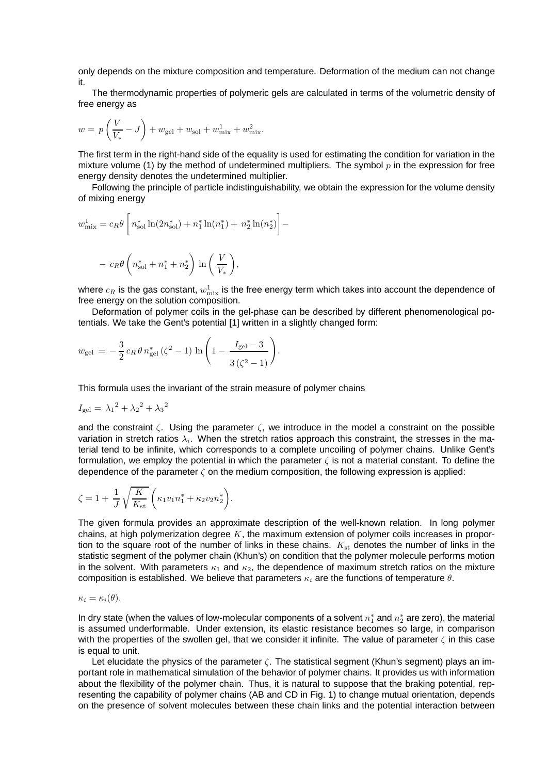only depends on the mixture composition and temperature. Deformation of the medium can not change it.

The thermodynamic properties of polymeric gels are calculated in terms of the volumetric density of free energy as

$$
w=\,p\left(\frac{V}{V_*}-J\right)+w_\mathrm{gel}+w_\mathrm{sol}+w_\mathrm{mix}^1+w_\mathrm{mix}^2.
$$

The first term in the right-hand side of the equality is used for estimating the condition for variation in the mixture volume (1) by the method of undetermined multipliers. The symbol  $p$  in the expression for free energy density denotes the undetermined multiplier.

Following the principle of particle indistinguishability, we obtain the expression for the volume density of mixing energy

$$
w_{\text{mix}}^1 = c_R \theta \left[ n_{\text{sol}}^* \ln(2n_{\text{sol}}^*) + n_1^* \ln(n_1^*) + n_2^* \ln(n_2^*) \right] -
$$
  
- 
$$
c_R \theta \left( n_{\text{sol}}^* + n_1^* + n_2^* \right) \ln \left( \frac{V}{V_*} \right),
$$

where  $c_R$  is the gas constant,  $w^1_{\rm mix}$  is the free energy term which takes into account the dependence of free energy on the solution composition.

Deformation of polymer coils in the gel-phase can be described by different phenomenological potentials. We take the Gent's potential [1] written in a slightly changed form:

$$
w_{\rm gel} = -\frac{3}{2} c_R \theta n_{\rm gel}^* \left( \zeta^2 - 1 \right) \ln \left( 1 - \frac{I_{\rm gel} - 3}{3 \left( \zeta^2 - 1 \right)} \right).
$$

This formula uses the invariant of the strain measure of polymer chains

$$
I_{\rm gel} = \lambda_1^2 + \lambda_2^2 + \lambda_3^2
$$

and the constraint  $\zeta$ . Using the parameter  $\zeta$ , we introduce in the model a constraint on the possible variation in stretch ratios  $\lambda_i$ . When the stretch ratios approach this constraint, the stresses in the material tend to be infinite, which corresponds to a complete uncoiling of polymer chains. Unlike Gent's formulation, we employ the potential in which the parameter  $\zeta$  is not a material constant. To define the dependence of the parameter  $\zeta$  on the medium composition, the following expression is applied:

$$
\zeta = 1 + \frac{1}{J} \sqrt{\frac{K}{K_{\rm st}}} \left( \kappa_1 v_1 n_1^* + \kappa_2 v_2 n_2^* \right).
$$

The given formula provides an approximate description of the well-known relation. In long polymer chains, at high polymerization degree  $K$ , the maximum extension of polymer coils increases in proportion to the square root of the number of links in these chains.  $K_{st}$  denotes the number of links in the statistic segment of the polymer chain (Khun's) on condition that the polymer molecule performs motion in the solvent. With parameters  $\kappa_1$  and  $\kappa_2$ , the dependence of maximum stretch ratios on the mixture composition is established. We believe that parameters  $\kappa_i$  are the functions of temperature  $\theta$ .

$$
\kappa_i = \kappa_i(\theta).
$$

In dry state (when the values of low-molecular components of a solvent  $n_1^*$  and  $n_2^*$  are zero), the material is assumed underformable. Under extension, its elastic resistance becomes so large, in comparison with the properties of the swollen gel, that we consider it infinite. The value of parameter  $\zeta$  in this case is equal to unit.

Let elucidate the physics of the parameter  $\zeta$ . The statistical segment (Khun's segment) plays an important role in mathematical simulation of the behavior of polymer chains. It provides us with information about the flexibility of the polymer chain. Thus, it is natural to suppose that the braking potential, representing the capability of polymer chains (AB and CD in Fig. 1) to change mutual orientation, depends on the presence of solvent molecules between these chain links and the potential interaction between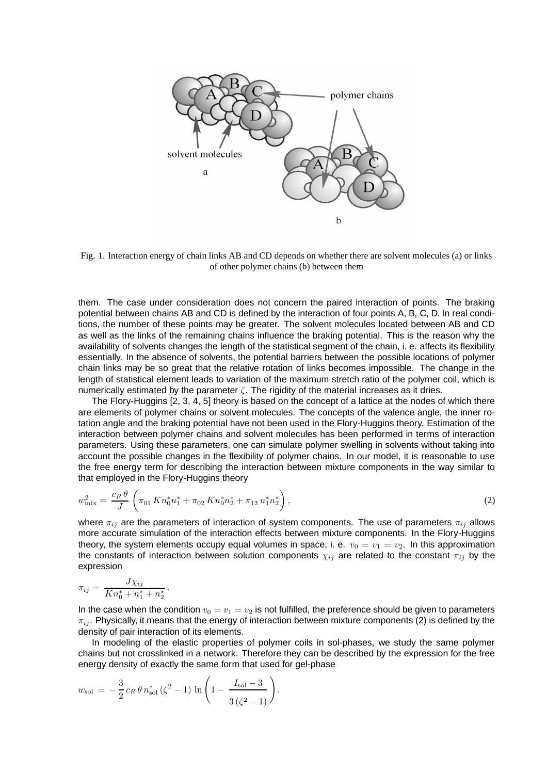

Fig. 1. Interaction energy of chain links AB and CD depends on whether there are solvent molecules (a) or links of other polymer chains (b) between them

them. The case under consideration does not concern the paired interaction of points. The braking potential between chains AB and CD is defined by the interaction of four points A, B, C, D. In real conditions, the number of these points may be greater. The solvent molecules located between AB and CD as well as the links of the remaining chains influence the braking potential. This is the reason why the availability of solvents changes the length of the statistical segment of the chain, i. e. affects its flexibility essentially. In the absence of solvents, the potential barriers between the possible locations of polymer chain links may be so great that the relative rotation of links becomes impossible. The change in the length of statistical element leads to variation of the maximum stretch ratio of the polymer coil, which is numerically estimated by the parameter  $\zeta$ . The rigidity of the material increases as it dries.

The Flory-Huggins [2, 3, 4, 5] theory is based on the concept of a lattice at the nodes of which there are elements of polymer chains or solvent molecules. The concepts of the valence angle, the inner rotation angle and the braking potential have not been used in the Flory-Huggins theory. Estimation of the interaction between polymer chains and solvent molecules has been performed in terms of interaction parameters. Using these parameters, one can simulate polymer swelling in solvents without taking into account the possible changes in the flexibility of polymer chains. In our model, it is reasonable to use the free energy term for describing the interaction between mixture components in the way similar to that employed in the Flory-Huggins theory

$$
w_{\text{mix}}^2 = \frac{c_R \theta}{J} \left( \pi_{01} K n_0^* n_1^* + \pi_{02} K n_0^* n_2^* + \pi_{12} n_1^* n_2^* \right),\tag{2}
$$

where  $\pi_{ij}$  are the parameters of interaction of system components. The use of parameters  $\pi_{ij}$  allows more accurate simulation of the interaction effects between mixture components. In the Flory-Huggins theory, the system elements occupy equal volumes in space, i. e.  $v_0 = v_1 = v_2$ . In this approximation the constants of interaction between solution components  $\chi_{ij}$  are related to the constant  $\pi_{ij}$  by the expression

$$
\pi_{ij} = \frac{J\chi_{ij}}{K n_0^* + n_1^* + n_2^*}.
$$

In the case when the condition  $v_0 = v_1 = v_2$  is not fulfilled, the preference should be given to parameters  $\pi_{ij}$ . Physically, it means that the energy of interaction between mixture components (2) is defined by the density of pair interaction of its elements.

In modeling of the elastic properties of polymer coils in sol-phases, we study the same polymer chains but not crosslinked in a network. Therefore they can be described by the expression for the free energy density of exactly the same form that used for gel-phase

.

$$
w_{\text{sol}} = -\frac{3}{2} c_R \theta n_{\text{sol}}^* \left( \zeta^2 - 1 \right) \ln \left( 1 - \frac{I_{\text{sol}} - 3}{3 \left( \zeta^2 - 1 \right)} \right)
$$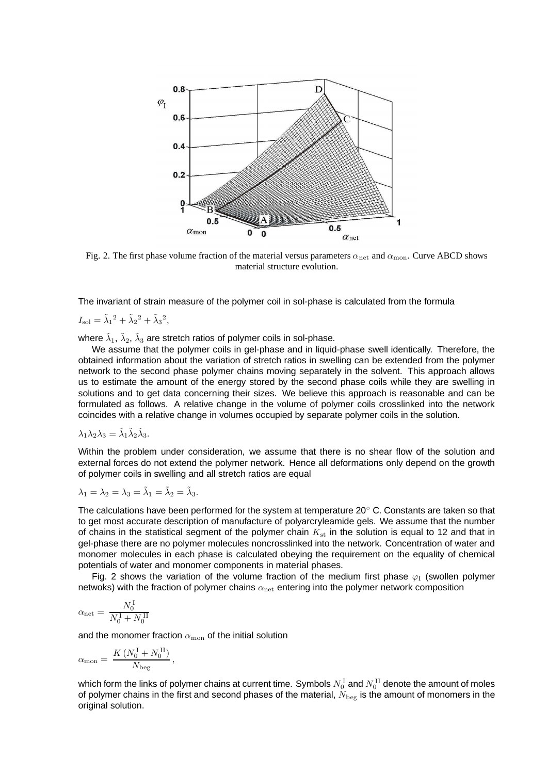

Fig. 2. The first phase volume fraction of the material versus parameters  $\alpha_{net}$  and  $\alpha_{mon}$ . Curve ABCD shows material structure evolution.

The invariant of strain measure of the polymer coil in sol-phase is calculated from the formula

 $I_{\text{sol}} = \tilde{\lambda}_1^2 + \tilde{\lambda}_2^2 + \tilde{\lambda}_3^2,$ 

where  $\tilde{\lambda}_1$ ,  $\tilde{\lambda}_2$ ,  $\tilde{\lambda}_3$  are stretch ratios of polymer coils in sol-phase.

We assume that the polymer coils in gel-phase and in liquid-phase swell identically. Therefore, the obtained information about the variation of stretch ratios in swelling can be extended from the polymer network to the second phase polymer chains moving separately in the solvent. This approach allows us to estimate the amount of the energy stored by the second phase coils while they are swelling in solutions and to get data concerning their sizes. We believe this approach is reasonable and can be formulated as follows. A relative change in the volume of polymer coils crosslinked into the network coincides with a relative change in volumes occupied by separate polymer coils in the solution.

$$
\lambda_1 \lambda_2 \lambda_3 = \tilde{\lambda}_1 \tilde{\lambda}_2 \tilde{\lambda}_3.
$$

Within the problem under consideration, we assume that there is no shear flow of the solution and external forces do not extend the polymer network. Hence all deformations only depend on the growth of polymer coils in swelling and all stretch ratios are equal

$$
\lambda_1 = \lambda_2 = \lambda_3 = \tilde{\lambda}_1 = \tilde{\lambda}_2 = \tilde{\lambda}_3.
$$

The calculations have been performed for the system at temperature 20◦ C. Constants are taken so that to get most accurate description of manufacture of polyarcryleamide gels. We assume that the number of chains in the statistical segment of the polymer chain  $K_{st}$  in the solution is equal to 12 and that in gel-phase there are no polymer molecules noncrosslinked into the network. Concentration of water and monomer molecules in each phase is calculated obeying the requirement on the equality of chemical potentials of water and monomer components in material phases.

Fig. 2 shows the variation of the volume fraction of the medium first phase  $\varphi_I$  (swollen polymer netwoks) with the fraction of polymer chains  $\alpha_{\rm net}$  entering into the polymer network composition

$$
\alpha_{\rm net} = \, \frac{N_0^{\rm \,I}}{N_0^{\rm \,I}+N_0^{\rm \,II}}
$$

and the monomer fraction  $\alpha_{\text{mon}}$  of the initial solution

$$
\alpha_{\rm mon} = \frac{K (N_0^{\rm I} + N_0^{\rm II})}{N_{\rm beg}},
$$

which form the links of polymer chains at current time. Symbols  $N^{\rm~I}_{\rm 0}$  and  $N^{\rm~II}_{\rm 0}$  denote the amount of moles of polymer chains in the first and second phases of the material,  $\tilde{N}_{\text{beg}}$  is the amount of monomers in the original solution.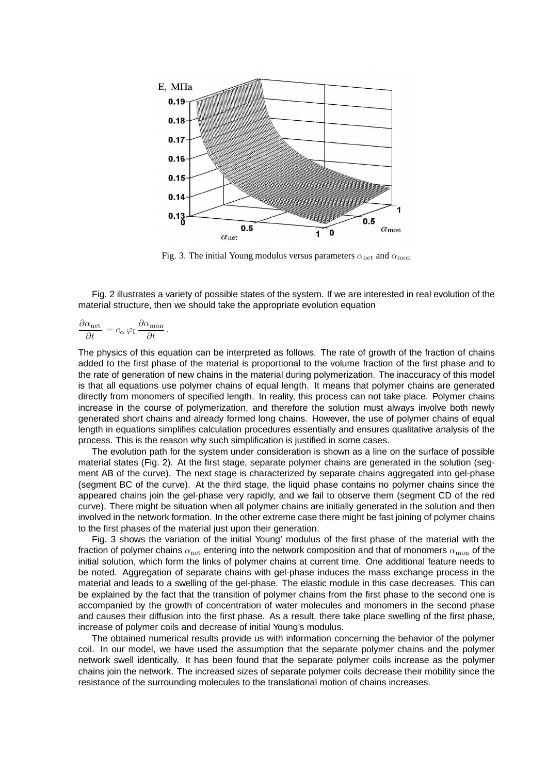

Fig. 3. The initial Young modulus versus parameters  $\alpha_{\text{net}}$  and  $\alpha_{\text{mon}}$ 

Fig. 2 illustrates a variety of possible states of the system. If we are interested in real evolution of the material structure, then we should take the appropriate evolution equation

$$
\frac{\partial \alpha_{\rm net}}{\partial t} = c_{\alpha} \, \varphi_{\rm I} \, \frac{\partial \alpha_{\rm mon}}{\partial t}
$$

.

The physics of this equation can be interpreted as follows. The rate of growth of the fraction of chains added to the first phase of the material is proportional to the volume fraction of the first phase and to the rate of generation of new chains in the material during polymerization. The inaccuracy of this model is that all equations use polymer chains of equal length. It means that polymer chains are generated directly from monomers of specified length. In reality, this process can not take place. Polymer chains increase in the course of polymerization, and therefore the solution must always involve both newly generated short chains and already formed long chains. However, the use of polymer chains of equal length in equations simplifies calculation procedures essentially and ensures qualitative analysis of the process. This is the reason why such simplification is justified in some cases.

The evolution path for the system under consideration is shown as a line on the surface of possible material states (Fig. 2). At the first stage, separate polymer chains are generated in the solution (segment AB of the curve). The next stage is characterized by separate chains aggregated into gel-phase (segment BC of the curve). At the third stage, the liquid phase contains no polymer chains since the appeared chains join the gel-phase very rapidly, and we fail to observe them (segment CD of the red curve). There might be situation when all polymer chains are initially generated in the solution and then involved in the network formation. In the other extreme case there might be fast joining of polymer chains to the first phases of the material just upon their generation.

Fig. 3 shows the variation of the initial Young' modulus of the first phase of the material with the fraction of polymer chains  $\alpha_{\rm net}$  entering into the network composition and that of monomers  $\alpha_{\rm mon}$  of the initial solution, which form the links of polymer chains at current time. One additional feature needs to be noted. Aggregation of separate chains with gel-phase induces the mass exchange process in the material and leads to a swelling of the gel-phase. The elastic module in this case decreases. This can be explained by the fact that the transition of polymer chains from the first phase to the second one is accompanied by the growth of concentration of water molecules and monomers in the second phase and causes their diffusion into the first phase. As a result, there take place swelling of the first phase, increase of polymer coils and decrease of initial Young's modulus.

The obtained numerical results provide us with information concerning the behavior of the polymer coil. In our model, we have used the assumption that the separate polymer chains and the polymer network swell identically. It has been found that the separate polymer coils increase as the polymer chains join the network. The increased sizes of separate polymer coils decrease their mobility since the resistance of the surrounding molecules to the translational motion of chains increases.